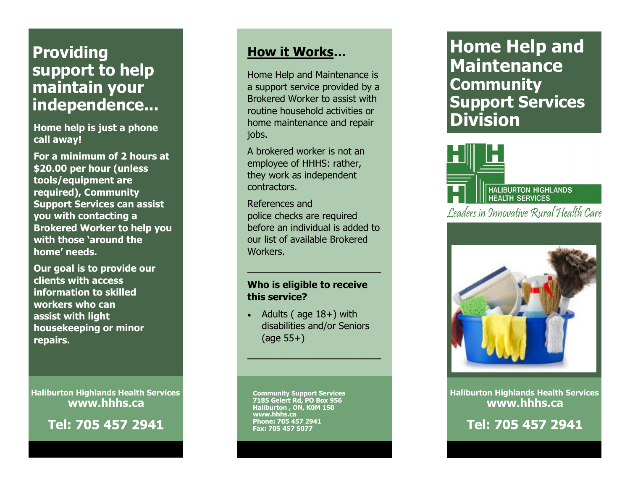# **Providing support to help maintain your independence...**

**call away!**

**For a minimum of 2 hours at \$20.00 per hour (unless tools/equipment are required), Community Support Services can assist you with contacting a Brokered Worker to help you with those 'around the home' needs.**

**Our goal is to provide our clients with access information to skilled workers who can assist with light housekeeping or minor repairs.**

**Haliburton Highlands Health Services www.hhhs.ca**

**Tel:** 

### **How it Works …**

**Home help is just a phone in the model of the model of activities of <b>Division** Home Help and Maintenance is a support service provided by a Brokered Worker to assist with routine household activities or home maintenance and repair jobs.

> A brokered worker is not an employee of HHHS: rather, they work as independent contractors.

References and police checks are required before an individual is added to our list of available Brokered Workers.

**\_\_\_\_\_\_\_\_\_\_\_\_\_\_\_\_\_\_\_\_\_\_**

#### **Who is eligible to receive this service?**

 $\bullet$  Adults (age  $18+$ ) with disabilities and/or Seniors (age 55+)

**\_\_\_\_\_\_\_\_\_\_\_\_\_\_\_\_\_\_\_\_\_\_**

**Community Support Services 7185 Gelert Rd, PO Box 956 Haliburton , ON, K0M 1S0 www.hhhs.ca Phone: 705 457 2941 Fax: 705 457 5077**

**Home Help and Maintenance Community Support Services** 





**Haliburton Highlands Health Services www.hhhs.ca**

**Tel:**